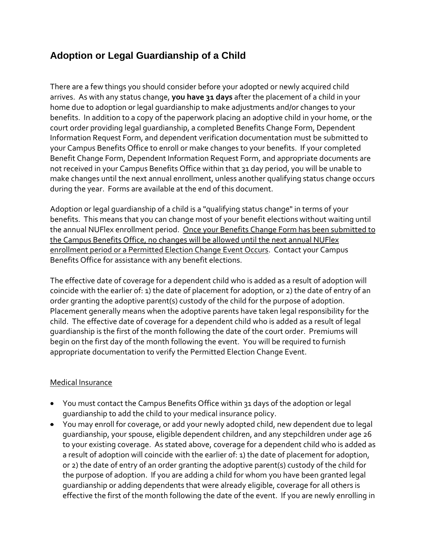# **Adoption or Legal Guardianship of a Child**

There are a few things you should consider before your adopted or newly acquired child arrives. As with any status change, **you have 31 days** after the placement of a child in your home due to adoption or legal guardianship to make adjustments and/or changes to your benefits. In addition to a copy of the paperwork placing an adoptive child in your home, or the court order providing legal guardianship, a completed Benefits Change Form, Dependent Information Request Form, and dependent verification documentation must be submitted to your Campus Benefits Office to enroll or make changes to your benefits. If your completed Benefit Change Form, Dependent Information Request Form, and appropriate documents are not received in your Campus Benefits Office within that 31 day period, you will be unable to make changes until the next annual enrollment, unless another qualifying status change occurs during the year. Forms are available at the end of this document.

Adoption or legal guardianship of a child is a "qualifying status change" in terms of your benefits. This means that you can change most of your benefit elections without waiting until the annual NUFlex enrollment period. Once your Benefits Change Form has been submitted to the Campus Benefits Office, no changes will be allowed until the next annual NUFlex enrollment period or a Permitted Election Change Event Occurs. Contact your Campus Benefits Office for assistance with any benefit elections.

The effective date of coverage for a dependent child who is added as a result of adoption will coincide with the earlier of: 1) the date of placement for adoption, or 2) the date of entry of an order granting the adoptive parent(s) custody of the child for the purpose of adoption. Placement generally means when the adoptive parents have taken legal responsibility for the child. The effective date of coverage for a dependent child who is added as a result of legal guardianship is the first of the month following the date of the court order. Premiums will begin on the first day of the month following the event. You will be required to furnish appropriate documentation to verify the Permitted Election Change Event.

#### Medical Insurance

- You must contact the Campus Benefits Office within 31 days of the adoption or legal guardianship to add the child to your medical insurance policy.
- You may enroll for coverage, or add your newly adopted child, new dependent due to legal guardianship, your spouse, eligible dependent children, and any stepchildren under age 26 to your existing coverage. As stated above, coverage for a dependent child who is added as a result of adoption will coincide with the earlier of: 1) the date of placement for adoption, or 2) the date of entry of an order granting the adoptive parent(s) custody of the child for the purpose of adoption. If you are adding a child for whom you have been granted legal guardianship or adding dependents that were already eligible, coverage for all others is effective the first of the month following the date of the event. If you are newly enrolling in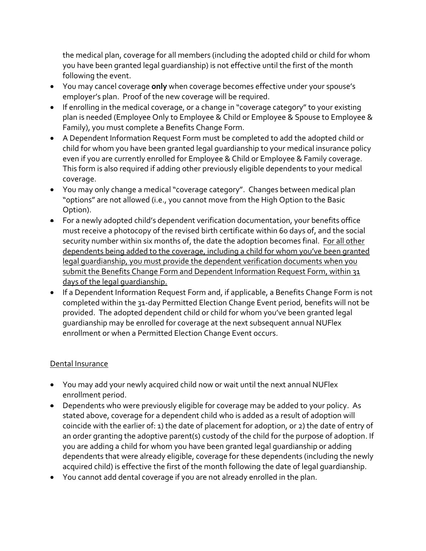the medical plan, coverage for all members (including the adopted child or child for whom you have been granted legal guardianship) is not effective until the first of the month following the event.

- You may cancel coverage **only** when coverage becomes effective under your spouse's employer's plan. Proof of the new coverage will be required.
- If enrolling in the medical coverage, or a change in "coverage category" to your existing plan is needed (Employee Only to Employee & Child or Employee & Spouse to Employee & Family), you must complete a Benefits Change Form.
- A Dependent Information Request Form must be completed to add the adopted child or child for whom you have been granted legal guardianship to your medical insurance policy even if you are currently enrolled for Employee & Child or Employee & Family coverage. This form is also required if adding other previously eligible dependents to your medical coverage.
- You may only change a medical "coverage category". Changes between medical plan "options" are not allowed (i.e., you cannot move from the High Option to the Basic Option).
- For a newly adopted child's dependent verification documentation, your benefits office must receive a photocopy of the revised birth certificate within 60 days of, and the social security number within six months of, the date the adoption becomes final. For all other dependents being added to the coverage, including a child for whom you've been granted legal guardianship, you must provide the dependent verification documents when you submit the Benefits Change Form and Dependent Information Request Form, within 31 days of the legal guardianship.
- If a Dependent Information Request Form and, if applicable, a Benefits Change Form is not completed within the 31-day Permitted Election Change Event period, benefits will not be provided. The adopted dependent child or child for whom you've been granted legal guardianship may be enrolled for coverage at the next subsequent annual NUFlex enrollment or when a Permitted Election Change Event occurs.

### Dental Insurance

- You may add your newly acquired child now or wait until the next annual NUFlex enrollment period.
- Dependents who were previously eligible for coverage may be added to your policy. As stated above, coverage for a dependent child who is added as a result of adoption will coincide with the earlier of: 1) the date of placement for adoption, or 2) the date of entry of an order granting the adoptive parent(s) custody of the child for the purpose of adoption. If you are adding a child for whom you have been granted legal guardianship or adding dependents that were already eligible, coverage for these dependents (including the newly acquired child) is effective the first of the month following the date of legal guardianship.
- You cannot add dental coverage if you are not already enrolled in the plan.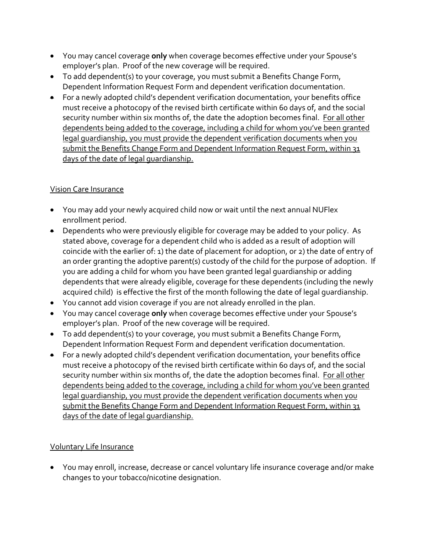- You may cancel coverage **only** when coverage becomes effective under your Spouse's employer's plan. Proof of the new coverage will be required.
- To add dependent(s) to your coverage, you must submit a Benefits Change Form, Dependent Information Request Form and dependent verification documentation.
- For a newly adopted child's dependent verification documentation, your benefits office must receive a photocopy of the revised birth certificate within 60 days of, and the social security number within six months of, the date the adoption becomes final. For all other dependents being added to the coverage, including a child for whom you've been granted legal guardianship, you must provide the dependent verification documents when you submit the Benefits Change Form and Dependent Information Request Form, within 31 days of the date of legal guardianship.

## Vision Care Insurance

- You may add your newly acquired child now or wait until the next annual NUFlex enrollment period.
- Dependents who were previously eligible for coverage may be added to your policy. As stated above, coverage for a dependent child who is added as a result of adoption will coincide with the earlier of: 1) the date of placement for adoption, or 2) the date of entry of an order granting the adoptive parent(s) custody of the child for the purpose of adoption. If you are adding a child for whom you have been granted legal guardianship or adding dependents that were already eligible, coverage for these dependents (including the newly acquired child) is effective the first of the month following the date of legal guardianship.
- You cannot add vision coverage if you are not already enrolled in the plan.
- You may cancel coverage **only** when coverage becomes effective under your Spouse's employer's plan. Proof of the new coverage will be required.
- To add dependent(s) to your coverage, you must submit a Benefits Change Form, Dependent Information Request Form and dependent verification documentation.
- For a newly adopted child's dependent verification documentation, your benefits office must receive a photocopy of the revised birth certificate within 60 days of, and the social security number within six months of, the date the adoption becomes final. For all other dependents being added to the coverage, including a child for whom you've been granted legal guardianship, you must provide the dependent verification documents when you submit the Benefits Change Form and Dependent Information Request Form, within 31 days of the date of legal quardianship.

### Voluntary Life Insurance

 You may enroll, increase, decrease or cancel voluntary life insurance coverage and/or make changes to your tobacco/nicotine designation.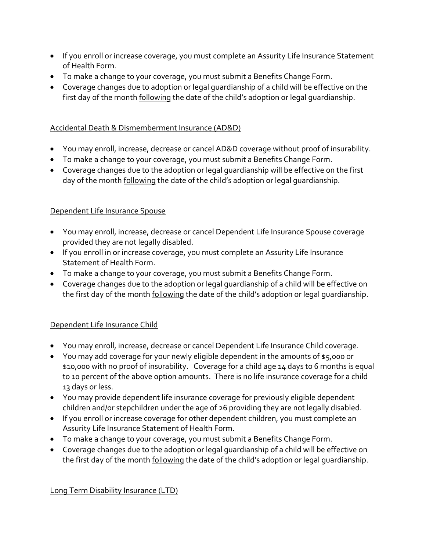- If you enroll or increase coverage, you must complete an Assurity Life Insurance Statement of Health Form.
- To make a change to your coverage, you must submit a Benefits Change Form.
- Coverage changes due to adoption or legal guardianship of a child will be effective on the first day of the month following the date of the child's adoption or legal guardianship.

### Accidental Death & Dismemberment Insurance (AD&D)

- You may enroll, increase, decrease or cancel AD&D coverage without proof of insurability.
- To make a change to your coverage, you must submit a Benefits Change Form.
- Coverage changes due to the adoption or legal guardianship will be effective on the first day of the month following the date of the child's adoption or legal quardianship.

### Dependent Life Insurance Spouse

- You may enroll, increase, decrease or cancel Dependent Life Insurance Spouse coverage provided they are not legally disabled.
- If you enroll in or increase coverage, you must complete an Assurity Life Insurance Statement of Health Form.
- To make a change to your coverage, you must submit a Benefits Change Form.
- Coverage changes due to the adoption or legal guardianship of a child will be effective on the first day of the month following the date of the child's adoption or legal quardianship.

### Dependent Life Insurance Child

- You may enroll, increase, decrease or cancel Dependent Life Insurance Child coverage.
- You may add coverage for your newly eligible dependent in the amounts of \$5,000 or \$10,000 with no proof of insurability. Coverage for a child age 14 days to 6 months is equal to 10 percent of the above option amounts. There is no life insurance coverage for a child 13 days or less.
- You may provide dependent life insurance coverage for previously eligible dependent children and/or stepchildren under the age of 26 providing they are not legally disabled.
- If you enroll or increase coverage for other dependent children, you must complete an Assurity Life Insurance Statement of Health Form.
- To make a change to your coverage, you must submit a Benefits Change Form.
- Coverage changes due to the adoption or legal guardianship of a child will be effective on the first day of the month following the date of the child's adoption or legal guardianship.

Long Term Disability Insurance (LTD)